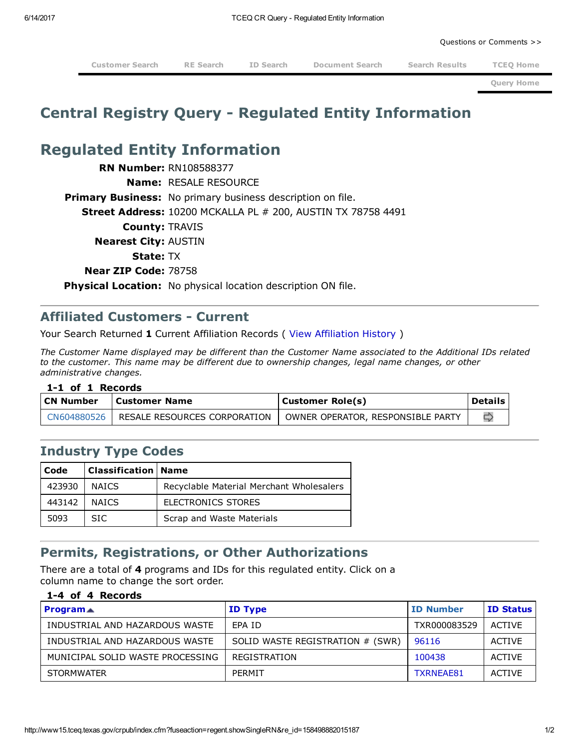Questions or [Comments](http://www15.tceq.texas.gov/crpub/index.cfm?fuseaction=home.viewReportErrs) >>

[Customer](http://www15.tceq.texas.gov/crpub/index.cfm?fuseaction=cust.newSearch) Search RE [Search](http://www15.tceq.texas.gov/crpub/index.cfm?fuseaction=regent.newSearch) ID [Search](http://www15.tceq.texas.gov/crpub/index.cfm?fuseaction=addnid.newSearch) [Document](http://www15.tceq.texas.gov/crpub/index.cfm?fuseaction=iwr.DocSearch) Search Search [Results](http://www15.tceq.texas.gov/crpub/index.cfm?fuseaction=regent.showREList) TCEQ [Home](http://www.tceq.texas.gov/)

Query [Home](http://www15.tceq.texas.gov/crpub/index.cfm?fuseaction=home.welcome)

## Central Registry Query Regulated Entity Information

# Regulated Entity Information

**RN Number: RN108588377** Name: RESALE RESOURCE **Primary Business:** No primary business description on file. **Street Address:** 10200 MCKALLA PL # 200, AUSTIN TX 78758 4491 County: TRAVIS Nearest City: AUSTIN State: TX Near ZIP Code: 78758 Physical Location: No physical location description ON file.

### **Affiliated Customers - Current**

Your Search Returned 1 Current [Affiliation](http://www15.tceq.texas.gov/crpub/index.cfm?fuseaction=regent.viewHistAffil&getall=yes&re_id=158498882015187&affilsort=pr.ref_num_txt) Records (View Affiliation History)

The Customer Name displayed may be different than the Customer Name associated to the Additional IDs related to the customer. This name may be different due to ownership changes, legal name changes, or other administrative changes.

#### 1-1 of 1 Records

| CN Number | l Customer Name                            | Customer Role(s)                  | <b>Details</b> |
|-----------|--------------------------------------------|-----------------------------------|----------------|
|           | CN604880526   RESALE RESOURCES CORPORATION | OWNER OPERATOR, RESPONSIBLE PARTY |                |

### Industry Type Codes

| Code   | Classification   Name |                                          |
|--------|-----------------------|------------------------------------------|
| 423930 | <b>NATCS</b>          | Recyclable Material Merchant Wholesalers |
| 443142 | <b>NAICS</b>          | ELECTRONICS STORES                       |
| 5093   | SIC.                  | Scrap and Waste Materials                |

## Permits, Registrations, or Other Authorizations

There are a total of 4 programs and IDs for this regulated entity. Click on a column name to change the sort order.

### 1-4 of 4 Records

| <b>Program</b> $\triangle$       | <b>ID Type</b>                   | <b>ID Number</b> | <b>ID Status</b> |
|----------------------------------|----------------------------------|------------------|------------------|
| INDUSTRIAL AND HAZARDOUS WASTE   | FPA ID                           | TXR000083529     | ACTIVE           |
| INDUSTRIAL AND HAZARDOUS WASTE   | SOLID WASTE REGISTRATION # (SWR) | 96116            | ACTIVE           |
| MUNICIPAL SOLID WASTE PROCESSING | REGISTRATION                     | 100438           | ACTIVE           |
| <b>STORMWATER</b>                | PFRMIT                           | TXRNFAF81        | <b>ACTIVE</b>    |